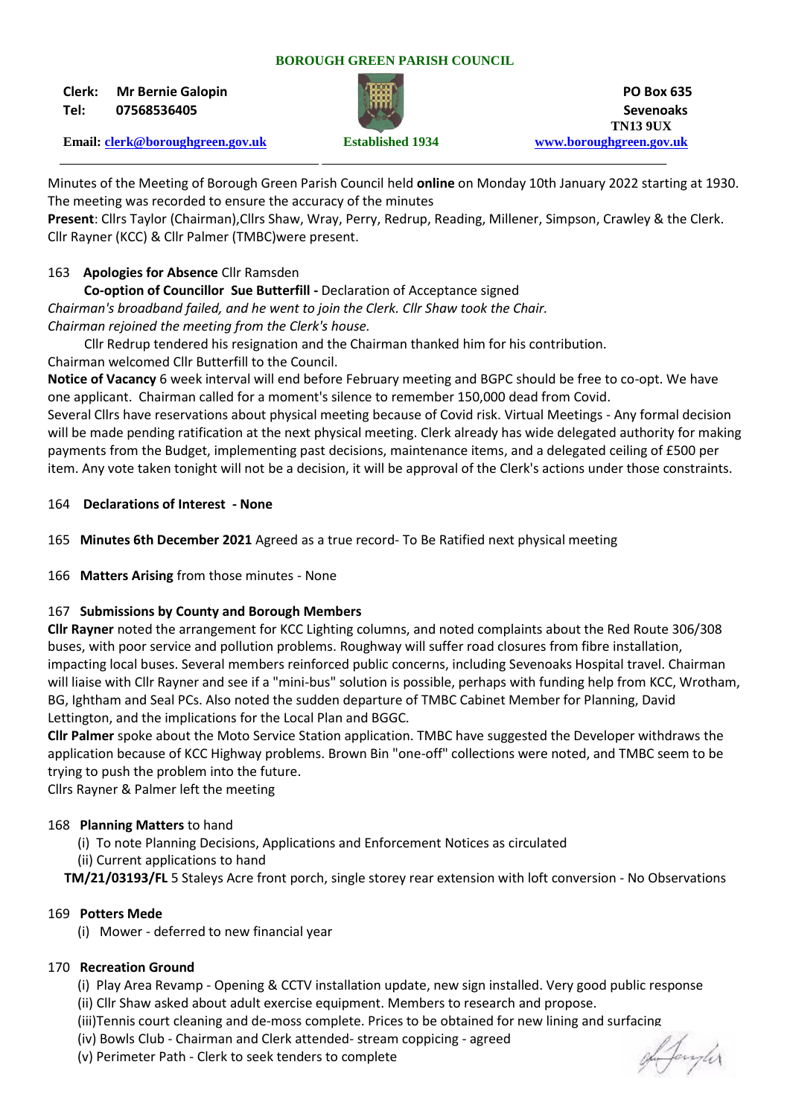#### **BOROUGH GREEN PARISH COUNCIL**

**Clerk: Mr Bernie Galopin PO Box 635 Tel: 07568536405 Sevenoaks**



 **TN13 9UX Email: [clerk@boroughgreen.gov.uk](mailto:clerk@boroughgreen.gov.uk) Established 1934 [www.boroughgreen.gov.uk](http://www.boroughgreen.gov.uk/)**

Minutes of the Meeting of Borough Green Parish Council held **online** on Monday 10th January 2022 starting at 1930. The meeting was recorded to ensure the accuracy of the minutes

**Present**: Cllrs Taylor (Chairman),Cllrs Shaw, Wray, Perry, Redrup, Reading, Millener, Simpson, Crawley & the Clerk. Cllr Rayner (KCC) & Cllr Palmer (TMBC)were present.

# 163 **Apologies for Absence** Cllr Ramsden

 **Co-option of Councillor Sue Butterfill -** Declaration of Acceptance signed

*Chairman's broadband failed, and he went to join the Clerk. Cllr Shaw took the Chair. Chairman rejoined the meeting from the Clerk's house.*

Cllr Redrup tendered his resignation and the Chairman thanked him for his contribution. Chairman welcomed Cllr Butterfill to the Council.

**Notice of Vacancy** 6 week interval will end before February meeting and BGPC should be free to co-opt. We have one applicant. Chairman called for a moment's silence to remember 150,000 dead from Covid.

Several Cllrs have reservations about physical meeting because of Covid risk. Virtual Meetings - Any formal decision will be made pending ratification at the next physical meeting. Clerk already has wide delegated authority for making payments from the Budget, implementing past decisions, maintenance items, and a delegated ceiling of £500 per item. Any vote taken tonight will not be a decision, it will be approval of the Clerk's actions under those constraints.

### 164 **Declarations of Interest - None**

165 **Minutes 6th December 2021** Agreed as a true record- To Be Ratified next physical meeting

166 **Matters Arising** from those minutes - None

## 167 **Submissions by County and Borough Members**

**Cllr Rayner** noted the arrangement for KCC Lighting columns, and noted complaints about the Red Route 306/308 buses, with poor service and pollution problems. Roughway will suffer road closures from fibre installation, impacting local buses. Several members reinforced public concerns, including Sevenoaks Hospital travel. Chairman will liaise with Cllr Rayner and see if a "mini-bus" solution is possible, perhaps with funding help from KCC, Wrotham, BG, Ightham and Seal PCs. Also noted the sudden departure of TMBC Cabinet Member for Planning, David Lettington, and the implications for the Local Plan and BGGC.

**Cllr Palmer** spoke about the Moto Service Station application. TMBC have suggested the Developer withdraws the application because of KCC Highway problems. Brown Bin "one-off" collections were noted, and TMBC seem to be trying to push the problem into the future.

Cllrs Rayner & Palmer left the meeting

#### 168 **Planning Matters** to hand

- (i) To note Planning Decisions, Applications and Enforcement Notices as circulated
- (ii) Current applications to hand

**TM/21/03193/FL** 5 Staleys Acre front porch, single storey rear extension with loft conversion - No Observations

## 169 **Potters Mede**

(i) Mower - deferred to new financial year

## 170 **Recreation Ground**

- (i) Play Area Revamp Opening & CCTV installation update, new sign installed. Very good public response
- (ii) Cllr Shaw asked about adult exercise equipment. Members to research and propose.
- (iii)Tennis court cleaning and de-moss complete. Prices to be obtained for new lining and surfacing
- (iv) Bowls Club Chairman and Clerk attended- stream coppicing agreed
- (v) Perimeter Path Clerk to seek tenders to complete

of Janyler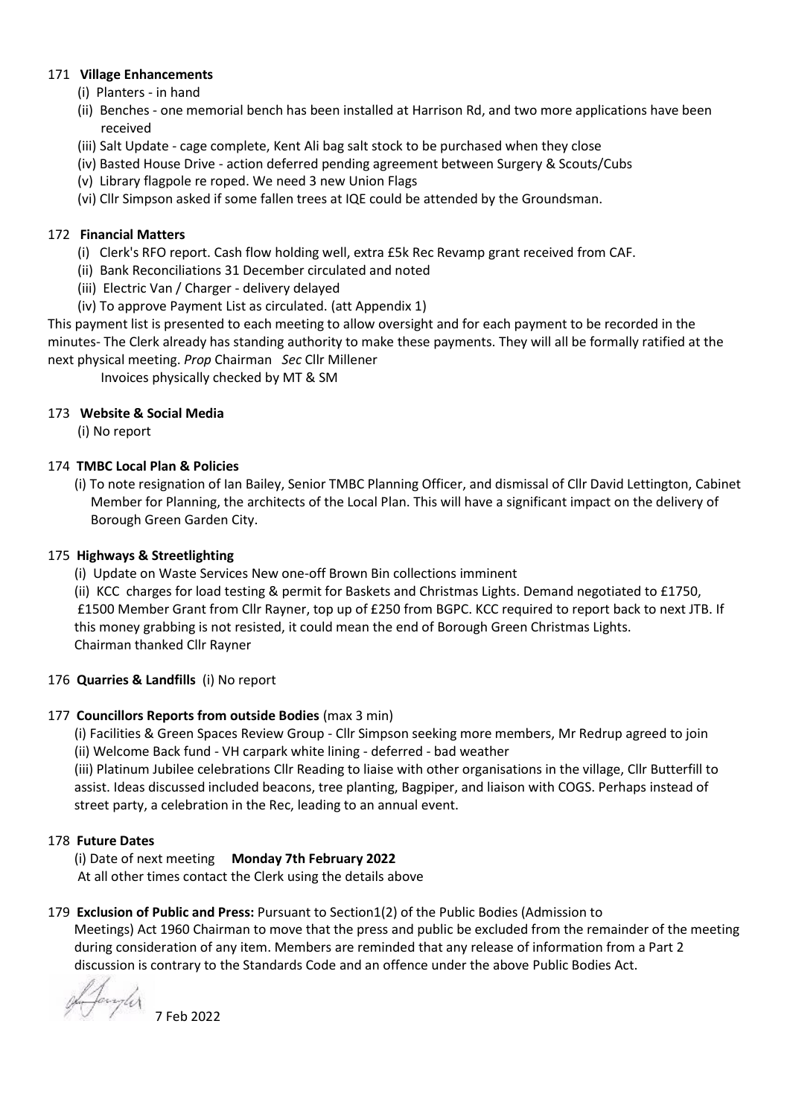## 171 **Village Enhancements**

- (i) Planters in hand
- (ii) Benches one memorial bench has been installed at Harrison Rd, and two more applications have been received
- (iii) Salt Update cage complete, Kent Ali bag salt stock to be purchased when they close
- (iv) Basted House Drive action deferred pending agreement between Surgery & Scouts/Cubs
- (v) Library flagpole re roped. We need 3 new Union Flags
- (vi) Cllr Simpson asked if some fallen trees at IQE could be attended by the Groundsman.

### 172 **Financial Matters**

- (i) Clerk's RFO report. Cash flow holding well, extra £5k Rec Revamp grant received from CAF.
- (ii) Bank Reconciliations 31 December circulated and noted
- (iii) Electric Van / Charger delivery delayed
- (iv) To approve Payment List as circulated. (att Appendix 1)

This payment list is presented to each meeting to allow oversight and for each payment to be recorded in the minutes- The Clerk already has standing authority to make these payments. They will all be formally ratified at the next physical meeting. *Prop* Chairman *Sec* Cllr Millener

Invoices physically checked by MT & SM

### 173 **Website & Social Media**

(i) No report

### 174 **TMBC Local Plan & Policies**

 (i) To note resignation of Ian Bailey, Senior TMBC Planning Officer, and dismissal of Cllr David Lettington, Cabinet Member for Planning, the architects of the Local Plan. This will have a significant impact on the delivery of Borough Green Garden City.

#### 175 **Highways & Streetlighting**

(i) Update on Waste Services New one-off Brown Bin collections imminent

 (ii) KCC charges for load testing & permit for Baskets and Christmas Lights. Demand negotiated to £1750, £1500 Member Grant from Cllr Rayner, top up of £250 from BGPC. KCC required to report back to next JTB. If this money grabbing is not resisted, it could mean the end of Borough Green Christmas Lights. Chairman thanked Cllr Rayner

#### 176 **Quarries & Landfills** (i) No report

#### 177 **Councillors Reports from outside Bodies** (max 3 min)

 (i) Facilities & Green Spaces Review Group - Cllr Simpson seeking more members, Mr Redrup agreed to join (ii) Welcome Back fund - VH carpark white lining - deferred - bad weather

 (iii) Platinum Jubilee celebrations Cllr Reading to liaise with other organisations in the village, Cllr Butterfill to assist. Ideas discussed included beacons, tree planting, Bagpiper, and liaison with COGS. Perhaps instead of street party, a celebration in the Rec, leading to an annual event.

## 178 **Future Dates**

 (i) Date of next meeting **Monday 7th February 2022** At all other times contact the Clerk using the details above

### 179 **Exclusion of Public and Press:** Pursuant to Section1(2) of the Public Bodies (Admission to Meetings) Act 1960 Chairman to move that the press and public be excluded from the remainder of the meeting during consideration of any item. Members are reminded that any release of information from a Part 2 discussion is contrary to the Standards Code and an offence under the above Public Bodies Act.

of Jangler 7 Feb 2022